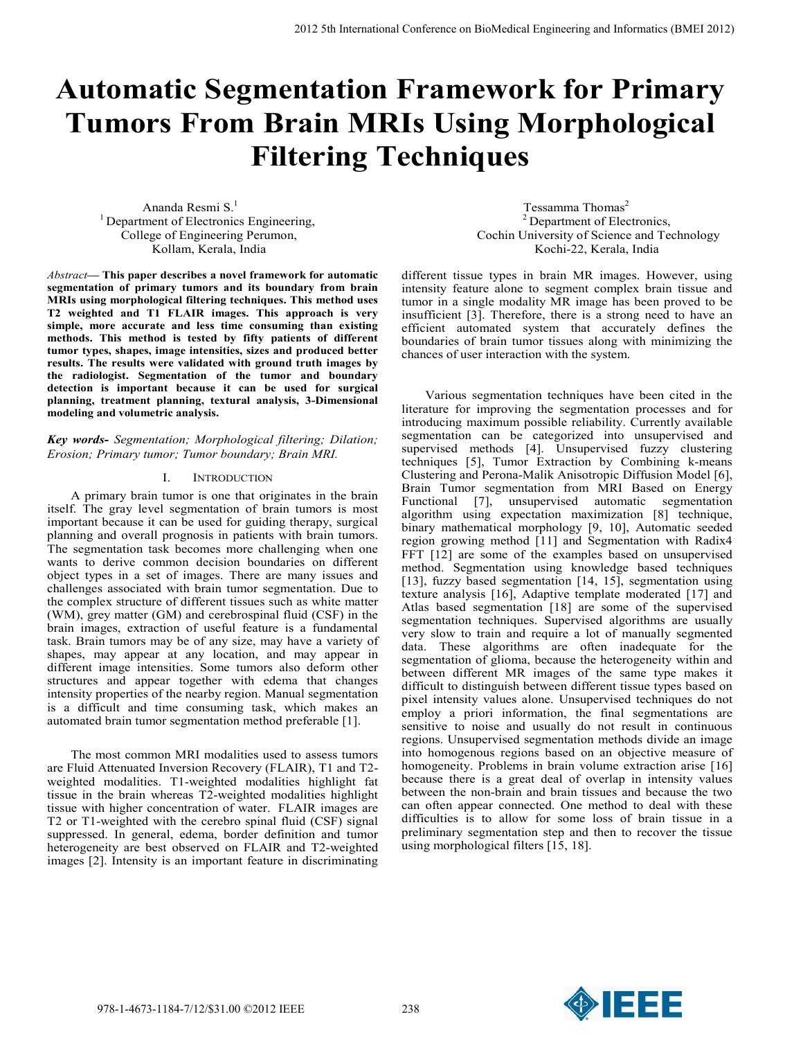# **Automatic Segmentation Framework for Primary Tumors From Brain MRIs Using Morphological Filtering Techniques**

Ananda Resmi S.<sup>1</sup> <sup>1</sup> Department of Electronics Engineering, College of Engineering Perumon, Kollam, Kerala, India

*Abstract***— This paper describes a novel framework for automatic segmentation of primary tumors and its boundary from brain MRIs using morphological filtering techniques. This method uses T2 weighted and T1 FLAIR images. This approach is very simple, more accurate and less time consuming than existing methods. This method is tested by fifty patients of different tumor types, shapes, image intensities, sizes and produced better results. The results were validated with ground truth images by the radiologist. Segmentation of the tumor and boundary detection is important because it can be used for surgical planning, treatment planning, textural analysis, 3-Dimensional modeling and volumetric analysis.** 

# *Key words***-** *Segmentation; Morphological filtering; Dilation; Erosion; Primary tumor; Tumor boundary; Brain MRI.*

# I. INTRODUCTION

A primary brain tumor is one that originates in the brain itself. The gray level segmentation of brain tumors is most important because it can be used for guiding therapy, surgical planning and overall prognosis in patients with brain tumors. The segmentation task becomes more challenging when one wants to derive common decision boundaries on different object types in a set of images. There are many issues and challenges associated with brain tumor segmentation. Due to the complex structure of different tissues such as white matter (WM), grey matter (GM) and cerebrospinal fluid (CSF) in the brain images, extraction of useful feature is a fundamental task. Brain tumors may be of any size, may have a variety of shapes, may appear at any location, and may appear in different image intensities. Some tumors also deform other structures and appear together with edema that changes intensity properties of the nearby region. Manual segmentation is a difficult and time consuming task, which makes an automated brain tumor segmentation method preferable [1].

The most common MRI modalities used to assess tumors are Fluid Attenuated Inversion Recovery (FLAIR), T1 and T2 weighted modalities. T1-weighted modalities highlight fat tissue in the brain whereas T2-weighted modalities highlight tissue with higher concentration of water. FLAIR images are T2 or T1-weighted with the cerebro spinal fluid (CSF) signal suppressed. In general, edema, border definition and tumor heterogeneity are best observed on FLAIR and T2-weighted images [2]. Intensity is an important feature in discriminating

Tessamma Thomas<sup>2</sup> 2 Department of Electronics, Cochin University of Science and Technology Kochi-22, Kerala, India

different tissue types in brain MR images. However, using intensity feature alone to segment complex brain tissue and tumor in a single modality MR image has been proved to be insufficient [3]. Therefore, there is a strong need to have an efficient automated system that accurately defines the boundaries of brain tumor tissues along with minimizing the chances of user interaction with the system.

Various segmentation techniques have been cited in the literature for improving the segmentation processes and for introducing maximum possible reliability. Currently available segmentation can be categorized into unsupervised and supervised methods [4]. Unsupervised fuzzy clustering techniques [5], Tumor Extraction by Combining k-means Clustering and Perona-Malik Anisotropic Diffusion Model [6], Brain Tumor segmentation from MRI Based on Energy Functional [7], unsupervised automatic segmentation algorithm using expectation maximization [8] technique, binary mathematical morphology [9, 10], Automatic seeded region growing method [11] and Segmentation with Radix4 FFT [12] are some of the examples based on unsupervised method. Segmentation using knowledge based techniques [13], fuzzy based segmentation [14, 15], segmentation using texture analysis [16], Adaptive template moderated [17] and Atlas based segmentation [18] are some of the supervised segmentation techniques. Supervised algorithms are usually very slow to train and require a lot of manually segmented data. These algorithms are often inadequate for the segmentation of glioma, because the heterogeneity within and between different MR images of the same type makes it difficult to distinguish between different tissue types based on pixel intensity values alone. Unsupervised techniques do not employ a priori information, the final segmentations are sensitive to noise and usually do not result in continuous regions. Unsupervised segmentation methods divide an image into homogenous regions based on an objective measure of homogeneity. Problems in brain volume extraction arise [16] because there is a great deal of overlap in intensity values between the non-brain and brain tissues and because the two can often appear connected. One method to deal with these difficulties is to allow for some loss of brain tissue in a preliminary segmentation step and then to recover the tissue using morphological filters [15, 18].

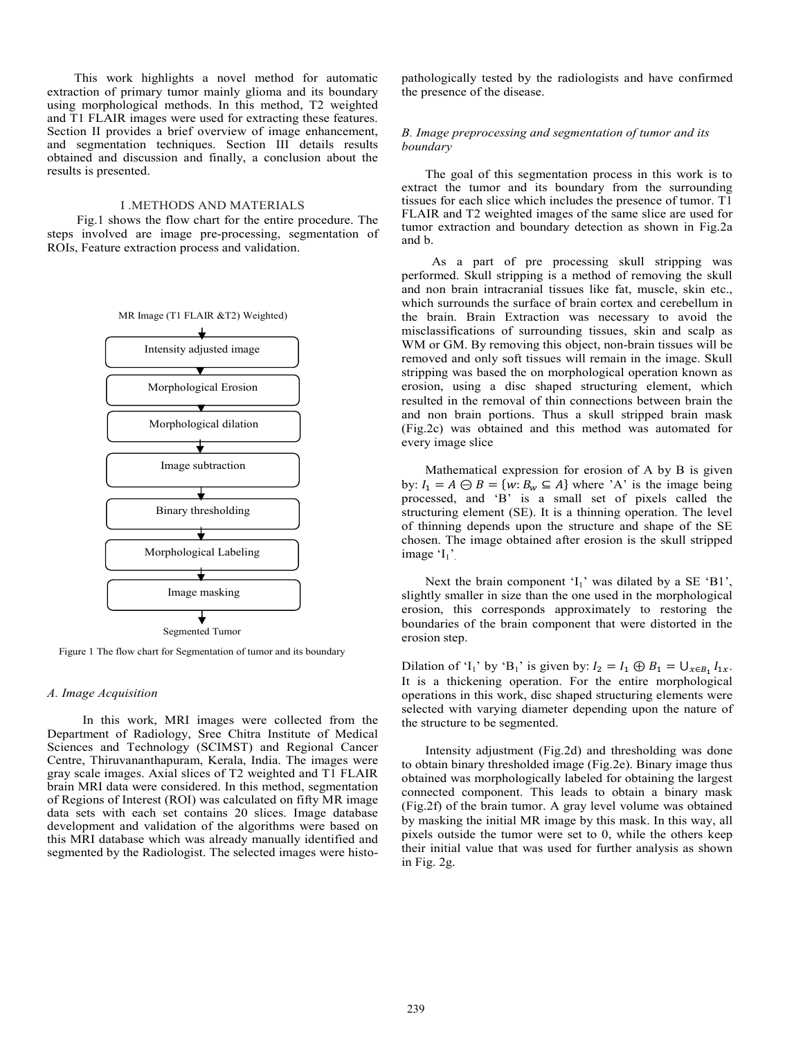This work highlights a novel method for automatic extraction of primary tumor mainly glioma and its boundary using morphological methods. In this method, T2 weighted and T1 FLAIR images were used for extracting these features. Section II provides a brief overview of image enhancement, and segmentation techniques. Section III details results obtained and discussion and finally, a conclusion about the results is presented.

# I .METHODS AND MATERIALS

 Fig.1 shows the flow chart for the entire procedure. The steps involved are image pre-processing, segmentation of ROIs, Feature extraction process and validation.



Figure 1 The flow chart for Segmentation of tumor and its boundary

#### *A. Image Acquisition*

In this work, MRI images were collected from the Department of Radiology, Sree Chitra Institute of Medical Sciences and Technology (SCIMST) and Regional Cancer Centre, Thiruvananthapuram, Kerala, India. The images were gray scale images. Axial slices of T2 weighted and T1 FLAIR brain MRI data were considered. In this method, segmentation of Regions of Interest (ROI) was calculated on fifty MR image data sets with each set contains 20 slices. Image database development and validation of the algorithms were based on this MRI database which was already manually identified and segmented by the Radiologist. The selected images were histopathologically tested by the radiologists and have confirmed the presence of the disease.

### *B. Image preprocessing and segmentation of tumor and its boundary*

The goal of this segmentation process in this work is to extract the tumor and its boundary from the surrounding tissues for each slice which includes the presence of tumor. T1 FLAIR and T2 weighted images of the same slice are used for tumor extraction and boundary detection as shown in Fig.2a and b.

 As a part of pre processing skull stripping was performed. Skull stripping is a method of removing the skull and non brain intracranial tissues like fat, muscle, skin etc., which surrounds the surface of brain cortex and cerebellum in the brain. Brain Extraction was necessary to avoid the misclassifications of surrounding tissues, skin and scalp as WM or GM. By removing this object, non-brain tissues will be removed and only soft tissues will remain in the image. Skull stripping was based the on morphological operation known as erosion, using a disc shaped structuring element, which resulted in the removal of thin connections between brain the and non brain portions. Thus a skull stripped brain mask (Fig.2c) was obtained and this method was automated for every image slice

Mathematical expression for erosion of A by B is given by:  $I_1 = A \ominus B = \{w : B_w \subseteq A\}$  where 'A' is the image being processed, and 'B' is a small set of pixels called the structuring element (SE). It is a thinning operation. The level of thinning depends upon the structure and shape of the SE chosen. The image obtained after erosion is the skull stripped image  $I_1$ '.

Next the brain component  $I_1$ ' was dilated by a SE  $B1$ ', slightly smaller in size than the one used in the morphological erosion, this corresponds approximately to restoring the boundaries of the brain component that were distorted in the erosion step.

Dilation of 'I<sub>1</sub>' by 'B<sub>1</sub>' is given by:  $I_2 = I_1 \oplus B_1 = \bigcup_{x \in B_1} I_{1x}$ . It is a thickening operation. For the entire morphological operations in this work, disc shaped structuring elements were selected with varying diameter depending upon the nature of the structure to be segmented.

Intensity adjustment (Fig.2d) and thresholding was done to obtain binary thresholded image (Fig.2e). Binary image thus obtained was morphologically labeled for obtaining the largest connected component. This leads to obtain a binary mask (Fig.2f) of the brain tumor. A gray level volume was obtained by masking the initial MR image by this mask. In this way, all pixels outside the tumor were set to 0, while the others keep their initial value that was used for further analysis as shown in Fig. 2g.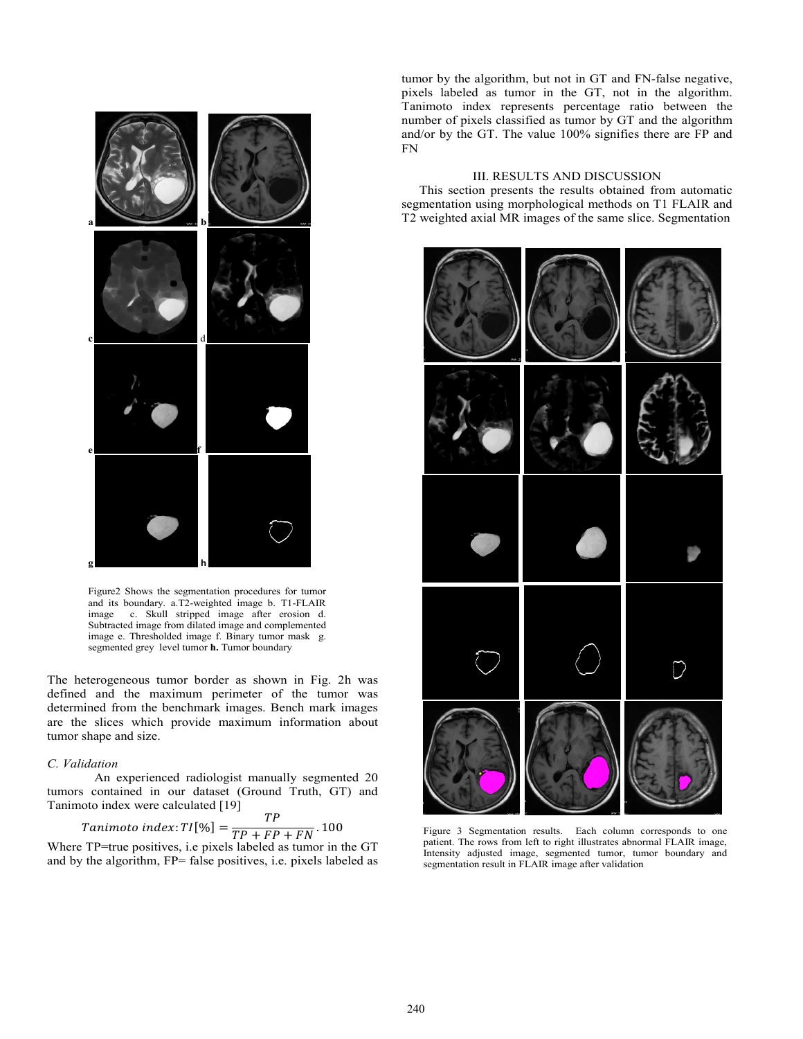

Figure2 Shows the segmentation procedures for tumor and its boundary. a.T2-weighted image b. T1-FLAIR image c. Skull stripped image after erosion d. Subtracted image from dilated image and complemented image e. Thresholded image f. Binary tumor mask g. segmented grey level tumor **h.** Tumor boundary

The heterogeneous tumor border as shown in Fig. 2h was defined and the maximum perimeter of the tumor was determined from the benchmark images. Bench mark images are the slices which provide maximum information about tumor shape and size.

#### *C. Validation*

An experienced radiologist manually segmented 20 tumors contained in our dataset (Ground Truth, GT) and Tanimoto index were calculated [19]  $\overline{a}$ 

Tanimoto index: 
$$
TI[\%] = \frac{IP}{TP + FP + FN}
$$
. 100

Where TP=true positives, i.e pixels labeled as tumor in the GT and by the algorithm, FP= false positives, i.e. pixels labeled as

tumor by the algorithm, but not in GT and FN-false negative, pixels labeled as tumor in the GT, not in the algorithm. Tanimoto index represents percentage ratio between the number of pixels classified as tumor by GT and the algorithm and/or by the GT. The value 100% signifies there are FP and FN

## III. RESULTS AND DISCUSSION

This section presents the results obtained from automatic segmentation using morphological methods on T1 FLAIR and T2 weighted axial MR images of the same slice. Segmentation



Figure 3 Segmentation results. Each column corresponds to one patient. The rows from left to right illustrates abnormal FLAIR image, Intensity adjusted image, segmented tumor, tumor boundary and segmentation result in FLAIR image after validation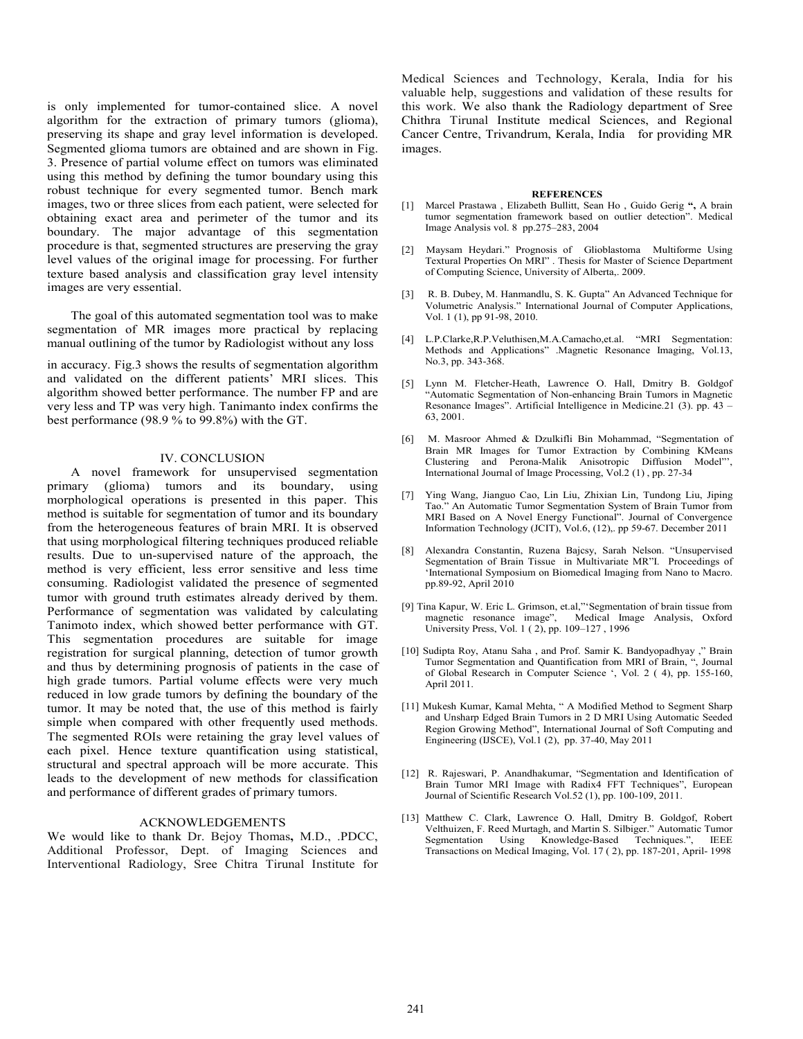is only implemented for tumor-contained slice. A novel algorithm for the extraction of primary tumors (glioma), preserving its shape and gray level information is developed. Segmented glioma tumors are obtained and are shown in Fig. 3. Presence of partial volume effect on tumors was eliminated using this method by defining the tumor boundary using this robust technique for every segmented tumor. Bench mark images, two or three slices from each patient, were selected for obtaining exact area and perimeter of the tumor and its boundary. The major advantage of this segmentation procedure is that, segmented structures are preserving the gray level values of the original image for processing. For further texture based analysis and classification gray level intensity images are very essential.

The goal of this automated segmentation tool was to make segmentation of MR images more practical by replacing manual outlining of the tumor by Radiologist without any loss

in accuracy. Fig.3 shows the results of segmentation algorithm and validated on the different patients' MRI slices. This algorithm showed better performance. The number FP and are very less and TP was very high. Tanimanto index confirms the best performance (98.9 % to 99.8%) with the GT.

#### IV. CONCLUSION

A novel framework for unsupervised segmentation primary (glioma) tumors and its boundary, using morphological operations is presented in this paper. This method is suitable for segmentation of tumor and its boundary from the heterogeneous features of brain MRI. It is observed that using morphological filtering techniques produced reliable results. Due to un-supervised nature of the approach, the method is very efficient, less error sensitive and less time consuming. Radiologist validated the presence of segmented tumor with ground truth estimates already derived by them. Performance of segmentation was validated by calculating Tanimoto index, which showed better performance with GT. This segmentation procedures are suitable for image registration for surgical planning, detection of tumor growth and thus by determining prognosis of patients in the case of high grade tumors. Partial volume effects were very much reduced in low grade tumors by defining the boundary of the tumor. It may be noted that, the use of this method is fairly simple when compared with other frequently used methods. The segmented ROIs were retaining the gray level values of each pixel. Hence texture quantification using statistical, structural and spectral approach will be more accurate. This leads to the development of new methods for classification and performance of different grades of primary tumors.

## ACKNOWLEDGEMENTS

We would like to thank Dr. Bejoy Thomas**,** M.D., .PDCC, Additional Professor, Dept. of Imaging Sciences and Interventional Radiology, Sree Chitra Tirunal Institute for Medical Sciences and Technology, Kerala, India for his valuable help, suggestions and validation of these results for this work. We also thank the Radiology department of Sree Chithra Tirunal Institute medical Sciences, and Regional Cancer Centre, Trivandrum, Kerala, India for providing MR images.

#### **REFERENCES**

- [1] Marcel Prastawa , Elizabeth Bullitt, Sean Ho , Guido Gerig **",** A brain tumor segmentation framework based on outlier detection". Medical Image Analysis vol. 8 pp.275–283, 2004
- [2] Maysam Heydari." Prognosis of Glioblastoma Multiforme Using Textural Properties On MRI" . Thesis for Master of Science Department of Computing Science, University of Alberta,. 2009.
- [3] R. B. Dubey, M. Hanmandlu, S. K. Gupta" An Advanced Technique for Volumetric Analysis." International Journal of Computer Applications, Vol. 1 (1), pp 91-98, 2010.
- [4] L.P.Clarke,R.P.Veluthisen,M.A.Camacho,et.al. "MRI Segmentation: Methods and Applications" .Magnetic Resonance Imaging, Vol.13, No.3, pp. 343-368.
- [5] Lynn M. Fletcher-Heath, Lawrence O. Hall, Dmitry B. Goldgof "Automatic Segmentation of Non-enhancing Brain Tumors in Magnetic Resonance Images". Artificial Intelligence in Medicine.21 (3). pp. 43 – 63, 2001.
- M. Masroor Ahmed & Dzulkifli Bin Mohammad, "Segmentation of Brain MR Images for Tumor Extraction by Combining KMeans Clustering and Perona-Malik Anisotropic Diffusion Model"', International Journal of Image Processing, Vol.2 (1) , pp. 27-34
- [7] Ying Wang, Jianguo Cao, Lin Liu, Zhixian Lin, Tundong Liu, Jiping Tao." An Automatic Tumor Segmentation System of Brain Tumor from MRI Based on A Novel Energy Functional". Journal of Convergence Information Technology (JCIT), Vol.6, (12),. pp 59-67. December 2011
- [8] Alexandra Constantin, Ruzena Bajcsy, Sarah Nelson. "Unsupervised Segmentation of Brain Tissue in Multivariate MR"I. Proceedings of 'International Symposium on Biomedical Imaging from Nano to Macro. pp.89-92, April 2010
- [9] Tina Kapur, W. Eric L. Grimson, et.al,"'Segmentation of brain tissue from magnetic resonance image", Medical Image Analysis, Oxford University Press, Vol. 1 ( 2), pp. 109–127 , 1996
- [10] Sudipta Roy, Atanu Saha , and Prof. Samir K. Bandyopadhyay ," Brain Tumor Segmentation and Quantification from MRI of Brain, ", Journal of Global Research in Computer Science ', Vol. 2 ( 4), pp. 155-160, April 2011.
- [11] Mukesh Kumar, Kamal Mehta, " A Modified Method to Segment Sharp and Unsharp Edged Brain Tumors in 2 D MRI Using Automatic Seeded Region Growing Method", International Journal of Soft Computing and Engineering (IJSCE), Vol.1 (2), pp. 37-40, May 2011
- [12] R. Rajeswari, P. Anandhakumar, "Segmentation and Identification of Brain Tumor MRI Image with Radix4 FFT Techniques", European Journal of Scientific Research Vol.52 (1), pp. 100-109, 2011.
- [13] Matthew C. Clark, Lawrence O. Hall, Dmitry B. Goldgof, Robert Velthuizen, F. Reed Murtagh, and Martin S. Silbiger." Automatic Tumor Segmentation Using Knowledge-Based Techniques.", IEEE Transactions on Medical Imaging, Vol. 17 ( 2), pp. 187-201, April- 1998